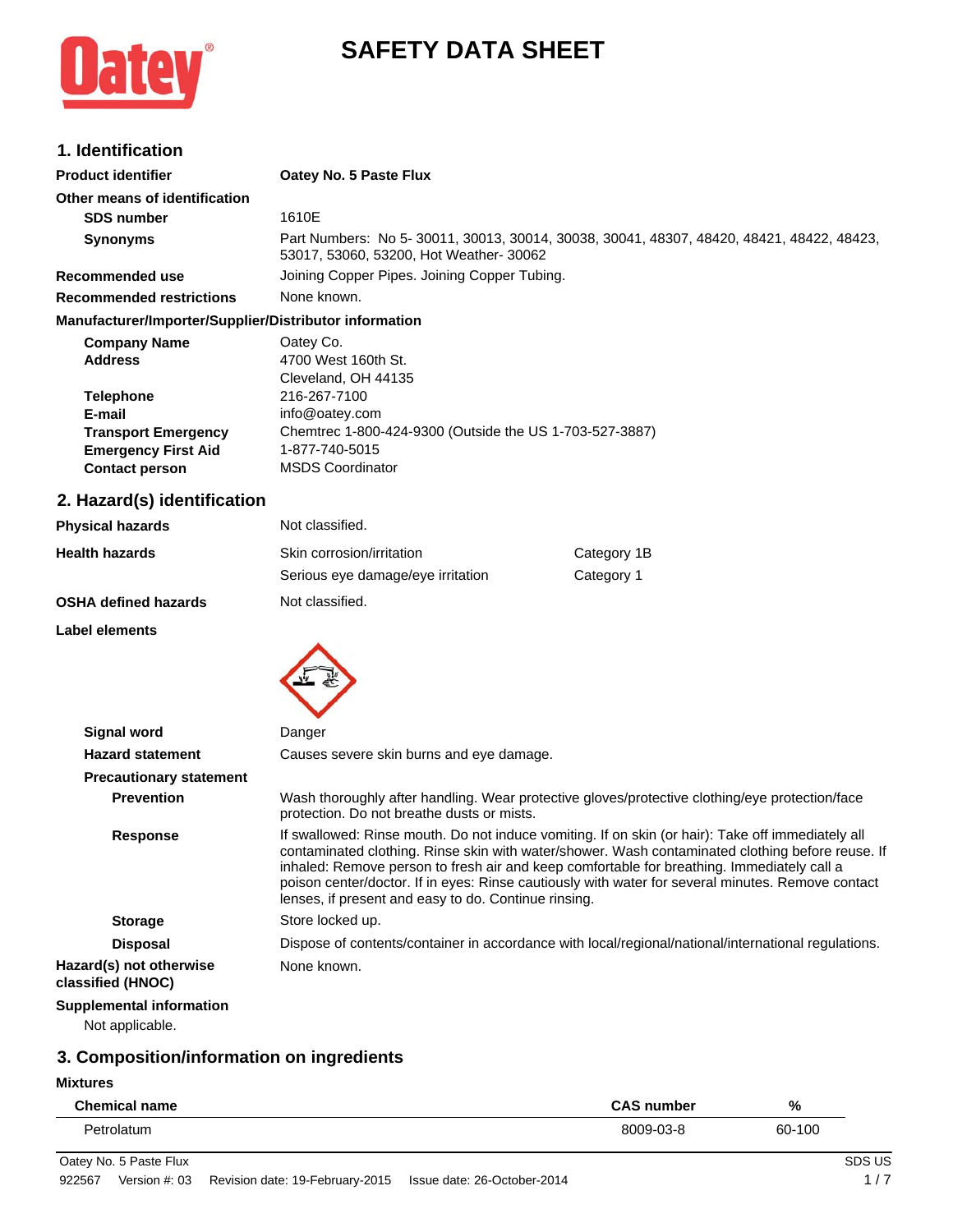# $\cdot$

## **SAFETY DATA SHEET**

## **1. Identification**

| <b>Product identifier</b>                              | Oatey No. 5 Paste Flux                                                                                                             |
|--------------------------------------------------------|------------------------------------------------------------------------------------------------------------------------------------|
| Other means of identification                          |                                                                                                                                    |
| <b>SDS number</b>                                      | 1610E                                                                                                                              |
| <b>Synonyms</b>                                        | Part Numbers: No 5-30011, 30013, 30014, 30038, 30041, 48307, 48420, 48421, 48422, 48423,<br>53017, 53060, 53200, Hot Weather-30062 |
| Recommended use                                        | Joining Copper Pipes. Joining Copper Tubing.                                                                                       |
| Recommended restrictions                               | None known.                                                                                                                        |
| Manufacturer/Importer/Supplier/Distributor information |                                                                                                                                    |
| <b>Company Name</b>                                    | Oatey Co.                                                                                                                          |
| <b>Address</b>                                         | 4700 West 160th St.                                                                                                                |
|                                                        | Cleveland, OH 44135                                                                                                                |
| <b>Telephone</b>                                       | 216-267-7100                                                                                                                       |
| E-mail                                                 | info@oatey.com                                                                                                                     |
| <b>Transport Emergency</b>                             | Chemtrec 1-800-424-9300 (Outside the US 1-703-527-3887)                                                                            |
| <b>Emergency First Aid</b>                             | 1-877-740-5015                                                                                                                     |

## **2. Hazard(s) identification**

**Contact person** MSDS Coordinator

| <b>Physical hazards</b>     | Not classified.                   |             |
|-----------------------------|-----------------------------------|-------------|
| <b>Health hazards</b>       | Skin corrosion/irritation         | Category 1B |
|                             | Serious eye damage/eye irritation | Category 1  |
| <b>OSHA defined hazards</b> | Not classified.                   |             |

#### **Label elements**



| <b>Signal word</b>                           | Danger                                                                                                                                                                                                                                                                                                                                                                                                                                                           |  |
|----------------------------------------------|------------------------------------------------------------------------------------------------------------------------------------------------------------------------------------------------------------------------------------------------------------------------------------------------------------------------------------------------------------------------------------------------------------------------------------------------------------------|--|
| <b>Hazard statement</b>                      | Causes severe skin burns and eye damage.                                                                                                                                                                                                                                                                                                                                                                                                                         |  |
| <b>Precautionary statement</b>               |                                                                                                                                                                                                                                                                                                                                                                                                                                                                  |  |
| <b>Prevention</b>                            | Wash thoroughly after handling. Wear protective gloves/protective clothing/eye protection/face<br>protection. Do not breathe dusts or mists.                                                                                                                                                                                                                                                                                                                     |  |
| Response                                     | If swallowed: Rinse mouth. Do not induce vomiting. If on skin (or hair): Take off immediately all<br>contaminated clothing. Rinse skin with water/shower. Wash contaminated clothing before reuse. If<br>inhaled: Remove person to fresh air and keep comfortable for breathing. Immediately call a<br>poison center/doctor. If in eyes: Rinse cautiously with water for several minutes. Remove contact<br>lenses, if present and easy to do. Continue rinsing. |  |
| <b>Storage</b>                               | Store locked up.                                                                                                                                                                                                                                                                                                                                                                                                                                                 |  |
| <b>Disposal</b>                              | Dispose of contents/container in accordance with local/regional/national/international regulations.                                                                                                                                                                                                                                                                                                                                                              |  |
| Hazard(s) not otherwise<br>classified (HNOC) | None known.                                                                                                                                                                                                                                                                                                                                                                                                                                                      |  |
| <b>Supplemental information</b>              |                                                                                                                                                                                                                                                                                                                                                                                                                                                                  |  |
| Not conviceble                               |                                                                                                                                                                                                                                                                                                                                                                                                                                                                  |  |

#### Not applicable.

## **3. Composition/information on ingredients**

**Mixtures**

L,

| <b>Chemical name</b> | <b>CAS number</b> | %      |
|----------------------|-------------------|--------|
| Petrolatum           | 8009-03-8         | 60-100 |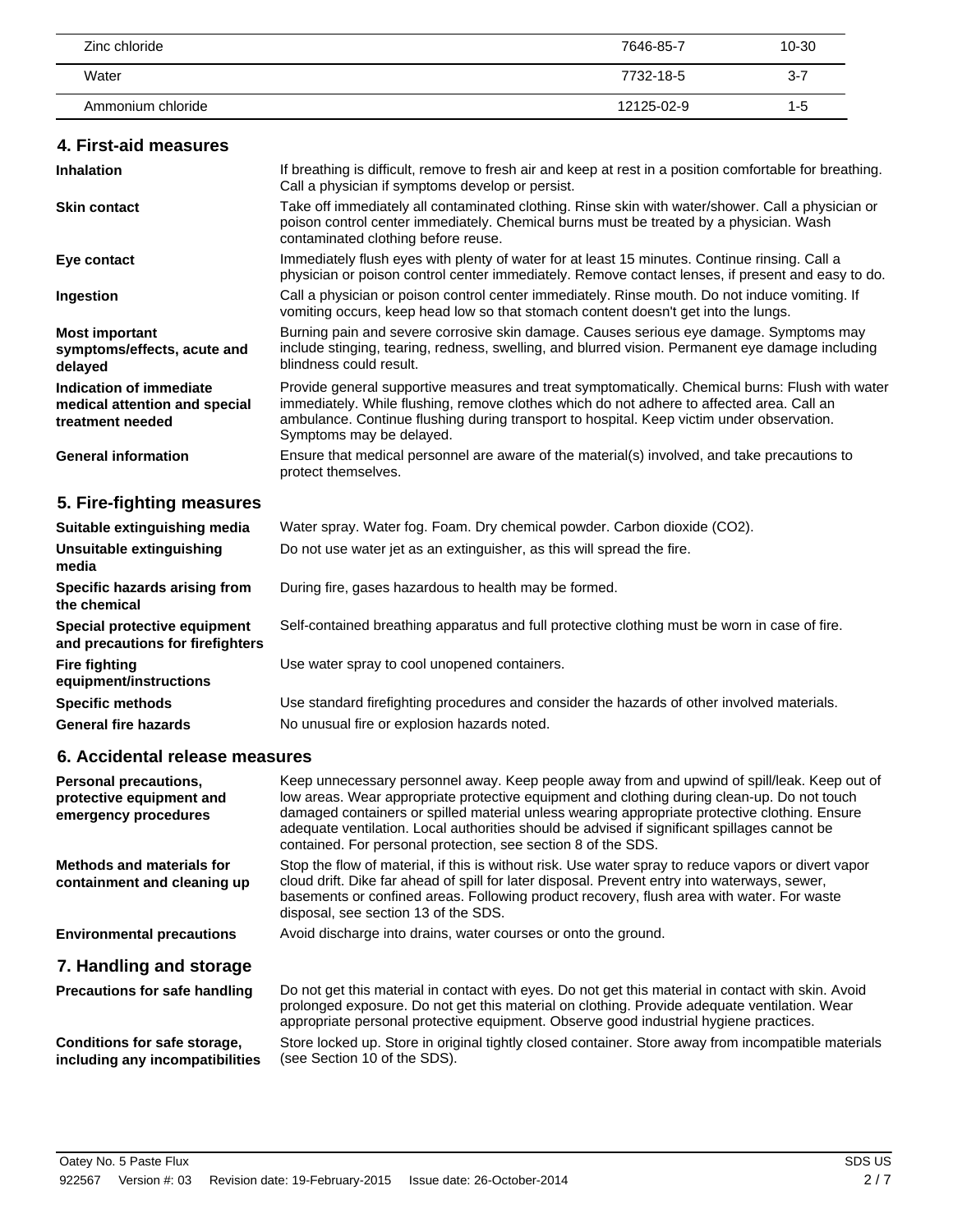| Zinc chloride     | 7646-85-7  | 10-30   |
|-------------------|------------|---------|
| Water             | 7732-18-5  | $3 - 7$ |
| Ammonium chloride | 12125-02-9 | 1-5     |

#### **4. First-aid measures**

| <b>Inhalation</b>                                                            | If breathing is difficult, remove to fresh air and keep at rest in a position comfortable for breathing.<br>Call a physician if symptoms develop or persist.                                                                                                                                                          |
|------------------------------------------------------------------------------|-----------------------------------------------------------------------------------------------------------------------------------------------------------------------------------------------------------------------------------------------------------------------------------------------------------------------|
| <b>Skin contact</b>                                                          | Take off immediately all contaminated clothing. Rinse skin with water/shower. Call a physician or<br>poison control center immediately. Chemical burns must be treated by a physician. Wash<br>contaminated clothing before reuse.                                                                                    |
| Eye contact                                                                  | Immediately flush eyes with plenty of water for at least 15 minutes. Continue rinsing. Call a<br>physician or poison control center immediately. Remove contact lenses, if present and easy to do.                                                                                                                    |
| Ingestion                                                                    | Call a physician or poison control center immediately. Rinse mouth. Do not induce vomiting. If<br>vomiting occurs, keep head low so that stomach content doesn't get into the lungs.                                                                                                                                  |
| <b>Most important</b><br>symptoms/effects, acute and<br>delayed              | Burning pain and severe corrosive skin damage. Causes serious eye damage. Symptoms may<br>include stinging, tearing, redness, swelling, and blurred vision. Permanent eye damage including<br>blindness could result.                                                                                                 |
| Indication of immediate<br>medical attention and special<br>treatment needed | Provide general supportive measures and treat symptomatically. Chemical burns: Flush with water<br>immediately. While flushing, remove clothes which do not adhere to affected area. Call an<br>ambulance. Continue flushing during transport to hospital. Keep victim under observation.<br>Symptoms may be delayed. |
| <b>General information</b>                                                   | Ensure that medical personnel are aware of the material(s) involved, and take precautions to<br>protect themselves.                                                                                                                                                                                                   |
| 5. Fire-fighting measures                                                    |                                                                                                                                                                                                                                                                                                                       |
| Suitable extinguishing media                                                 | Water spray. Water fog. Foam. Dry chemical powder. Carbon dioxide (CO2).                                                                                                                                                                                                                                              |
| Unsuitable extinguishing<br>media                                            | Do not use water jet as an extinguisher, as this will spread the fire.                                                                                                                                                                                                                                                |
| Specific hazards arising from<br>the chemical                                | During fire, gases hazardous to health may be formed.                                                                                                                                                                                                                                                                 |
| Special protective equipment<br>and precautions for firefighters             | Self-contained breathing apparatus and full protective clothing must be worn in case of fire.                                                                                                                                                                                                                         |
| <b>Fire fighting</b><br>equipment/instructions                               | Use water spray to cool unopened containers.                                                                                                                                                                                                                                                                          |
| <b>Specific methods</b>                                                      | Use standard firefighting procedures and consider the hazards of other involved materials.                                                                                                                                                                                                                            |

General fire hazards **No unusual fire or explosion hazards noted.** 

## **6. Accidental release measures**

| Personal precautions,<br>protective equipment and<br>emergency procedures | Keep unnecessary personnel away. Keep people away from and upwind of spill/leak. Keep out of<br>low areas. Wear appropriate protective equipment and clothing during clean-up. Do not touch<br>damaged containers or spilled material unless wearing appropriate protective clothing. Ensure<br>adequate ventilation. Local authorities should be advised if significant spillages cannot be<br>contained. For personal protection, see section 8 of the SDS. |
|---------------------------------------------------------------------------|---------------------------------------------------------------------------------------------------------------------------------------------------------------------------------------------------------------------------------------------------------------------------------------------------------------------------------------------------------------------------------------------------------------------------------------------------------------|
| Methods and materials for<br>containment and cleaning up                  | Stop the flow of material, if this is without risk. Use water spray to reduce vapors or divert vapor<br>cloud drift. Dike far ahead of spill for later disposal. Prevent entry into waterways, sewer,<br>basements or confined areas. Following product recovery, flush area with water. For waste<br>disposal, see section 13 of the SDS.                                                                                                                    |
| <b>Environmental precautions</b>                                          | Avoid discharge into drains, water courses or onto the ground.                                                                                                                                                                                                                                                                                                                                                                                                |
| 7. Handling and storage                                                   |                                                                                                                                                                                                                                                                                                                                                                                                                                                               |
| <b>Precautions for safe handling</b>                                      | Do not get this material in contact with eyes. Do not get this material in contact with skin. Avoid<br>prolonged exposure. Do not get this material on clothing. Provide adequate ventilation. Wear<br>appropriate personal protective equipment. Observe good industrial hygiene practices.                                                                                                                                                                  |
| Conditione for eafo etorago                                               | Store locked up. Store in original tightly closed container. Store away from incompatible materials                                                                                                                                                                                                                                                                                                                                                           |

**Conditions for safe storage, including any incompatibilities**

Store locked up. Store in original tightly closed container. Store away from incompatible materials (see Section 10 of the SDS).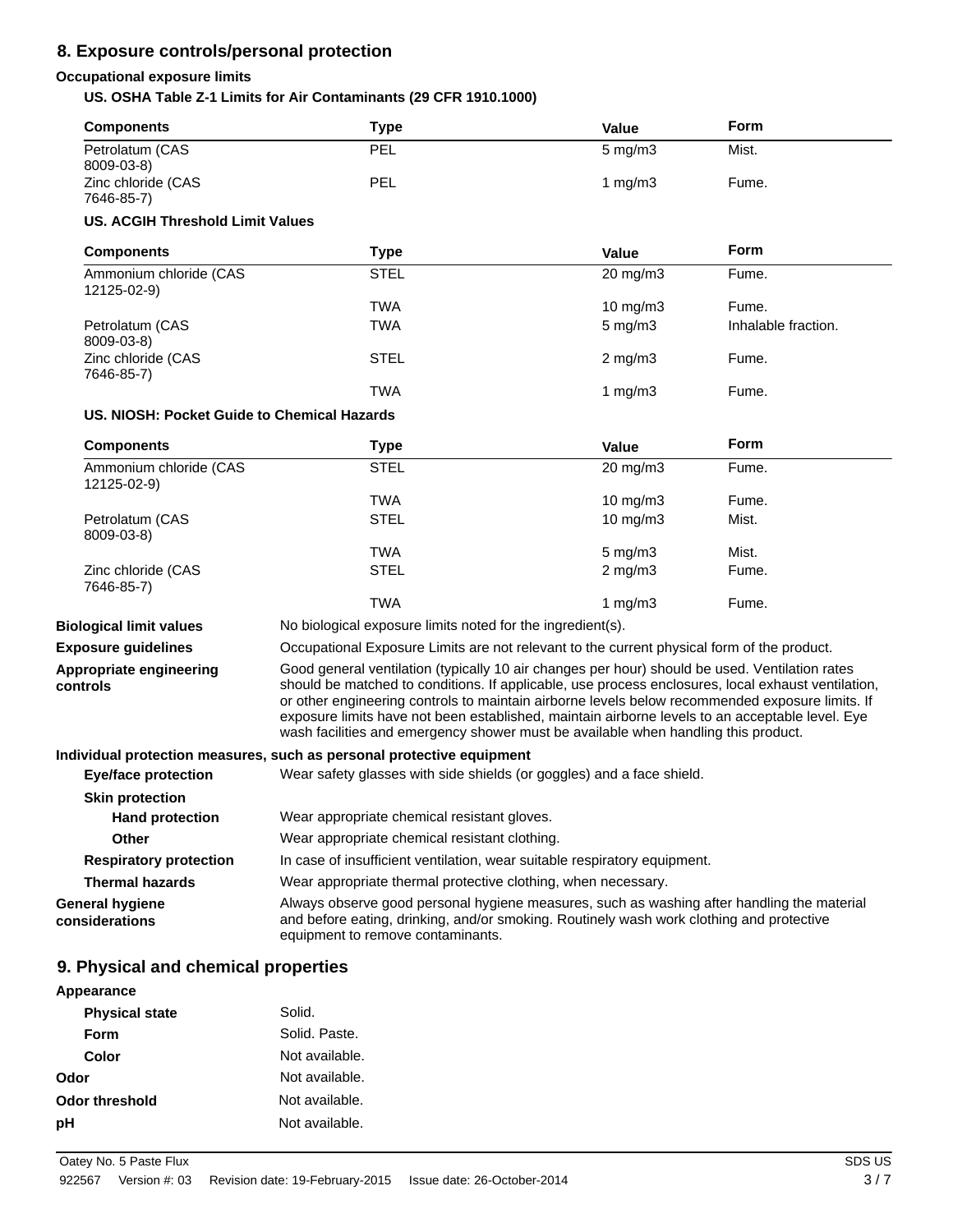## **8. Exposure controls/personal protection**

## **Occupational exposure limits**

#### **US. OSHA Table Z-1 Limits for Air Contaminants (29 CFR 1910.1000)**

| Petrolatum (CAS<br>8009-03-8)<br>Zinc chloride (CAS<br>7646-85-7)<br><b>US. ACGIH Threshold Limit Values</b><br><b>Components</b><br>Ammonium chloride (CAS | PEL<br><b>PEL</b><br><b>Type</b><br><b>STEL</b>                                                                                                                                                                                                                                                                                                                                                                                                                                                  | $5$ mg/m $3$<br>1 $mg/m3$<br>Value | Mist.<br>Fume.<br><b>Form</b> |
|-------------------------------------------------------------------------------------------------------------------------------------------------------------|--------------------------------------------------------------------------------------------------------------------------------------------------------------------------------------------------------------------------------------------------------------------------------------------------------------------------------------------------------------------------------------------------------------------------------------------------------------------------------------------------|------------------------------------|-------------------------------|
|                                                                                                                                                             |                                                                                                                                                                                                                                                                                                                                                                                                                                                                                                  |                                    |                               |
|                                                                                                                                                             |                                                                                                                                                                                                                                                                                                                                                                                                                                                                                                  |                                    |                               |
|                                                                                                                                                             |                                                                                                                                                                                                                                                                                                                                                                                                                                                                                                  |                                    |                               |
|                                                                                                                                                             |                                                                                                                                                                                                                                                                                                                                                                                                                                                                                                  |                                    |                               |
| 12125-02-9)                                                                                                                                                 |                                                                                                                                                                                                                                                                                                                                                                                                                                                                                                  | 20 mg/m3                           | Fume.                         |
|                                                                                                                                                             | <b>TWA</b>                                                                                                                                                                                                                                                                                                                                                                                                                                                                                       | $10 \text{ mg/m}$                  | Fume.                         |
| Petrolatum (CAS<br>8009-03-8)                                                                                                                               | <b>TWA</b>                                                                                                                                                                                                                                                                                                                                                                                                                                                                                       | $5$ mg/m $3$                       | Inhalable fraction.           |
| Zinc chloride (CAS<br>7646-85-7)                                                                                                                            | <b>STEL</b>                                                                                                                                                                                                                                                                                                                                                                                                                                                                                      | $2$ mg/m $3$                       | Fume.                         |
|                                                                                                                                                             | <b>TWA</b>                                                                                                                                                                                                                                                                                                                                                                                                                                                                                       | 1 $mg/m3$                          | Fume.                         |
| US. NIOSH: Pocket Guide to Chemical Hazards                                                                                                                 |                                                                                                                                                                                                                                                                                                                                                                                                                                                                                                  |                                    |                               |
| <b>Components</b>                                                                                                                                           | <b>Type</b>                                                                                                                                                                                                                                                                                                                                                                                                                                                                                      | <b>Value</b>                       | Form                          |
| Ammonium chloride (CAS<br>12125-02-9)                                                                                                                       | <b>STEL</b>                                                                                                                                                                                                                                                                                                                                                                                                                                                                                      | 20 mg/m3                           | Fume.                         |
|                                                                                                                                                             | <b>TWA</b>                                                                                                                                                                                                                                                                                                                                                                                                                                                                                       | 10 mg/m3                           | Fume.                         |
| Petrolatum (CAS<br>8009-03-8)                                                                                                                               | <b>STEL</b>                                                                                                                                                                                                                                                                                                                                                                                                                                                                                      | 10 mg/m3                           | Mist.                         |
|                                                                                                                                                             | <b>TWA</b>                                                                                                                                                                                                                                                                                                                                                                                                                                                                                       | $5$ mg/m $3$                       | Mist.                         |
| Zinc chloride (CAS<br>7646-85-7)                                                                                                                            | <b>STEL</b>                                                                                                                                                                                                                                                                                                                                                                                                                                                                                      | $2$ mg/m $3$                       | Fume.                         |
|                                                                                                                                                             | <b>TWA</b>                                                                                                                                                                                                                                                                                                                                                                                                                                                                                       | 1 $mg/m3$                          | Fume.                         |
| <b>Biological limit values</b>                                                                                                                              | No biological exposure limits noted for the ingredient(s).                                                                                                                                                                                                                                                                                                                                                                                                                                       |                                    |                               |
| <b>Exposure guidelines</b>                                                                                                                                  | Occupational Exposure Limits are not relevant to the current physical form of the product.                                                                                                                                                                                                                                                                                                                                                                                                       |                                    |                               |
| Appropriate engineering<br>controls                                                                                                                         | Good general ventilation (typically 10 air changes per hour) should be used. Ventilation rates<br>should be matched to conditions. If applicable, use process enclosures, local exhaust ventilation,<br>or other engineering controls to maintain airborne levels below recommended exposure limits. If<br>exposure limits have not been established, maintain airborne levels to an acceptable level. Eye<br>wash facilities and emergency shower must be available when handling this product. |                                    |                               |
|                                                                                                                                                             | Individual protection measures, such as personal protective equipment                                                                                                                                                                                                                                                                                                                                                                                                                            |                                    |                               |
| <b>Eye/face protection</b>                                                                                                                                  | Wear safety glasses with side shields (or goggles) and a face shield.                                                                                                                                                                                                                                                                                                                                                                                                                            |                                    |                               |
| <b>Skin protection</b>                                                                                                                                      |                                                                                                                                                                                                                                                                                                                                                                                                                                                                                                  |                                    |                               |
| <b>Hand protection</b>                                                                                                                                      | Wear appropriate chemical resistant gloves.                                                                                                                                                                                                                                                                                                                                                                                                                                                      |                                    |                               |
| Other                                                                                                                                                       | Wear appropriate chemical resistant clothing.                                                                                                                                                                                                                                                                                                                                                                                                                                                    |                                    |                               |
| <b>Respiratory protection</b>                                                                                                                               | In case of insufficient ventilation, wear suitable respiratory equipment.                                                                                                                                                                                                                                                                                                                                                                                                                        |                                    |                               |
| <b>Thermal hazards</b>                                                                                                                                      | Wear appropriate thermal protective clothing, when necessary.                                                                                                                                                                                                                                                                                                                                                                                                                                    |                                    |                               |
| <b>General hygiene</b><br>considerations                                                                                                                    | Always observe good personal hygiene measures, such as washing after handling the material<br>and before eating, drinking, and/or smoking. Routinely wash work clothing and protective<br>equipment to remove contaminants.                                                                                                                                                                                                                                                                      |                                    |                               |

## **9. Physical and chemical properties**

| Appearance            |                |  |
|-----------------------|----------------|--|
| <b>Physical state</b> | Solid.         |  |
| Form                  | Solid. Paste.  |  |
| Color                 | Not available. |  |
| Odor                  | Not available. |  |
| <b>Odor threshold</b> | Not available. |  |
| рH                    | Not available. |  |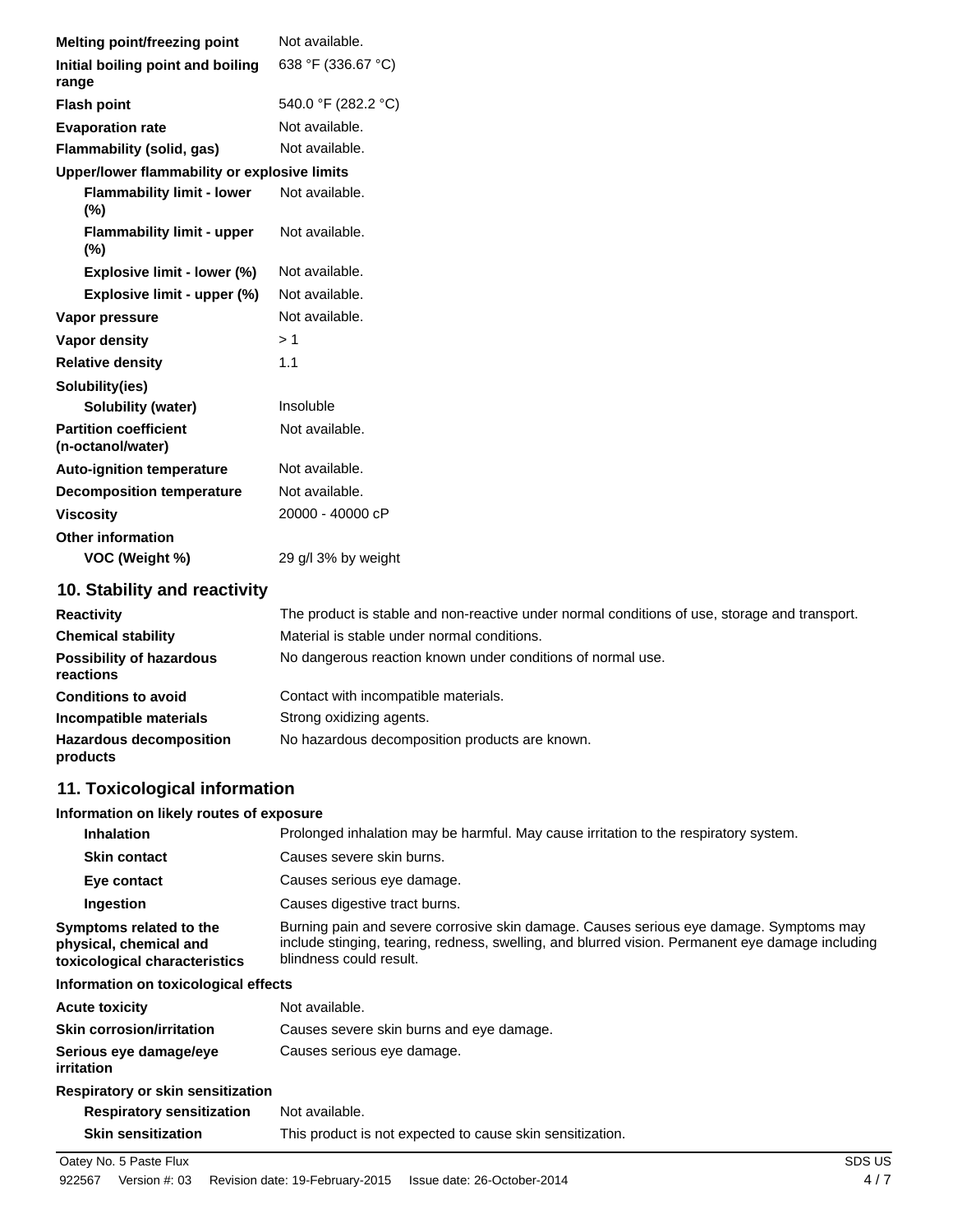| Melting point/freezing point                      | Not available.                                                                                |
|---------------------------------------------------|-----------------------------------------------------------------------------------------------|
| Initial boiling point and boiling<br>range        | 638 °F (336.67 °C)                                                                            |
| <b>Flash point</b>                                | 540.0 °F (282.2 °C)                                                                           |
| <b>Evaporation rate</b>                           | Not available.                                                                                |
| Flammability (solid, gas)                         | Not available.                                                                                |
| Upper/lower flammability or explosive limits      |                                                                                               |
| <b>Flammability limit - lower</b><br>(%)          | Not available.                                                                                |
| <b>Flammability limit - upper</b><br>(%)          | Not available.                                                                                |
| Explosive limit - lower (%)                       | Not available.                                                                                |
| Explosive limit - upper (%)                       | Not available.                                                                                |
| Vapor pressure                                    | Not available.                                                                                |
| <b>Vapor density</b>                              | >1                                                                                            |
| <b>Relative density</b>                           | 1.1                                                                                           |
| Solubility(ies)                                   |                                                                                               |
| <b>Solubility (water)</b>                         | Insoluble                                                                                     |
| <b>Partition coefficient</b><br>(n-octanol/water) | Not available.                                                                                |
| <b>Auto-ignition temperature</b>                  | Not available.                                                                                |
| <b>Decomposition temperature</b>                  | Not available.                                                                                |
| <b>Viscosity</b>                                  | 20000 - 40000 cP                                                                              |
| <b>Other information</b>                          |                                                                                               |
| VOC (Weight %)                                    | 29 g/l 3% by weight                                                                           |
| 10. Stability and reactivity                      |                                                                                               |
| <b>Reactivity</b>                                 | The product is stable and non-reactive under normal conditions of use, storage and transport. |
| <b>Chemical stability</b>                         | Material is stable under normal conditions.                                                   |
| <b>Possibility of hazardous</b><br>reactions      | No dangerous reaction known under conditions of normal use.                                   |
| <b>Conditions to avoid</b>                        | Contact with incompatible materials.                                                          |
| Incompatible materials                            | Strong oxidizing agents.                                                                      |
| <b>Hazardous decomposition</b><br>products        | No hazardous decomposition products are known.                                                |
| 11. Toxicological information                     |                                                                                               |

#### **Information on likely routes of exposure**

| <b>INTERNATION UNITED I</b>                                                        |                                                                                                                                                                                                                       |
|------------------------------------------------------------------------------------|-----------------------------------------------------------------------------------------------------------------------------------------------------------------------------------------------------------------------|
| <b>Inhalation</b>                                                                  | Prolonged inhalation may be harmful. May cause irritation to the respiratory system.                                                                                                                                  |
| <b>Skin contact</b>                                                                | Causes severe skin burns.                                                                                                                                                                                             |
| Eye contact                                                                        | Causes serious eye damage.                                                                                                                                                                                            |
| Ingestion                                                                          | Causes digestive tract burns.                                                                                                                                                                                         |
| Symptoms related to the<br>physical, chemical and<br>toxicological characteristics | Burning pain and severe corrosive skin damage. Causes serious eye damage. Symptoms may<br>include stinging, tearing, redness, swelling, and blurred vision. Permanent eye damage including<br>blindness could result. |
| Information on toxicological effects                                               |                                                                                                                                                                                                                       |
| <b>Acute toxicity</b>                                                              | Not available.                                                                                                                                                                                                        |
| <b>Skin corrosion/irritation</b>                                                   | Causes severe skin burns and eye damage.                                                                                                                                                                              |
| Serious eye damage/eye<br>irritation                                               | Causes serious eye damage.                                                                                                                                                                                            |
| Respiratory or skin sensitization                                                  |                                                                                                                                                                                                                       |

| <b>Respiratory sensitization</b> | Not available.                                            |
|----------------------------------|-----------------------------------------------------------|
| <b>Skin sensitization</b>        | This product is not expected to cause skin sensitization. |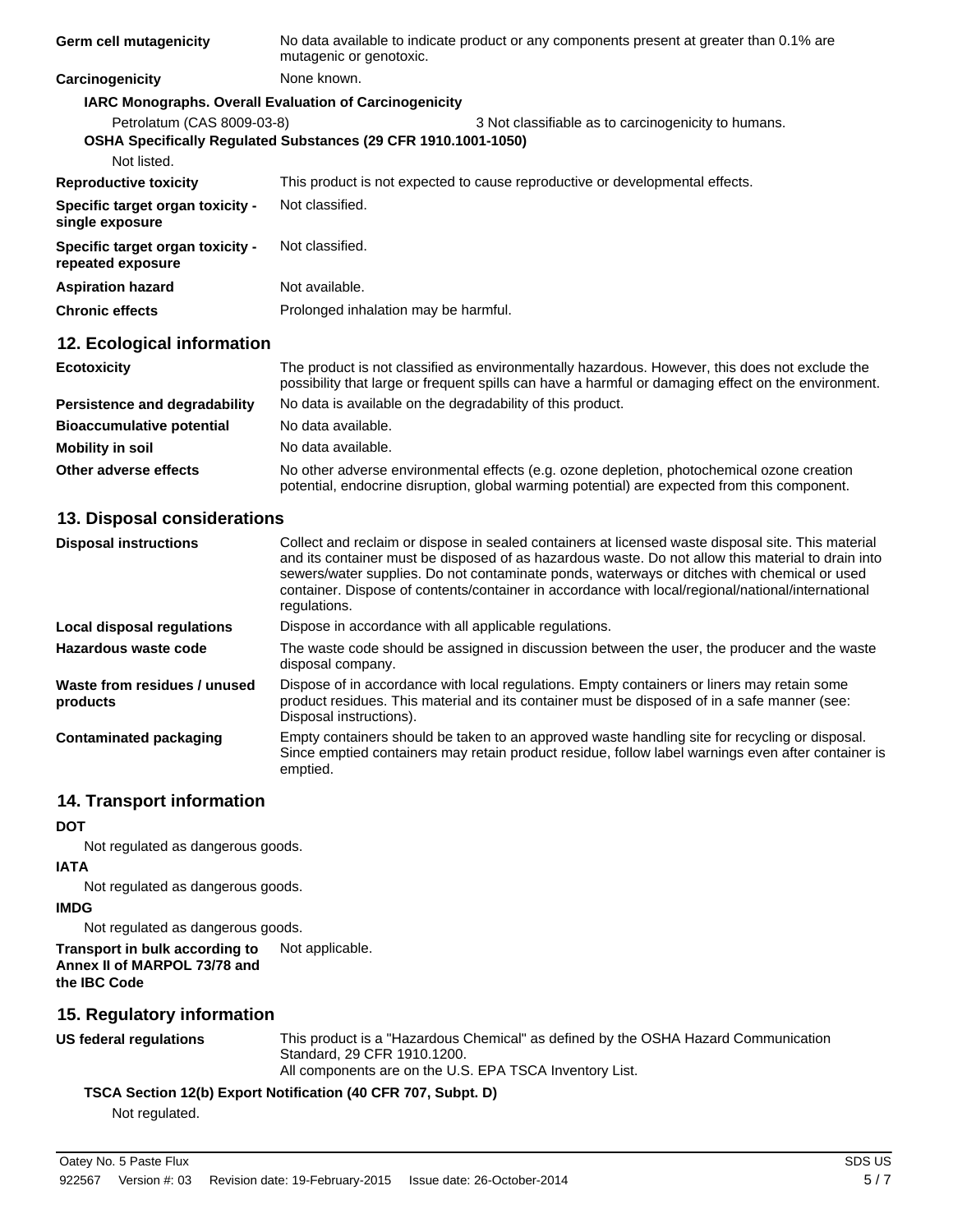| <b>Germ cell mutagenicity</b>                         | No data available to indicate product or any components present at greater than 0.1% are<br>mutagenic or genotoxic.                                                                                   |  |  |  |
|-------------------------------------------------------|-------------------------------------------------------------------------------------------------------------------------------------------------------------------------------------------------------|--|--|--|
| Carcinogenicity                                       | None known.                                                                                                                                                                                           |  |  |  |
|                                                       | <b>IARC Monographs. Overall Evaluation of Carcinogenicity</b>                                                                                                                                         |  |  |  |
| Petrolatum (CAS 8009-03-8)                            | 3 Not classifiable as to carcinogenicity to humans.<br>OSHA Specifically Regulated Substances (29 CFR 1910.1001-1050)                                                                                 |  |  |  |
| Not listed.                                           |                                                                                                                                                                                                       |  |  |  |
| <b>Reproductive toxicity</b>                          | This product is not expected to cause reproductive or developmental effects.                                                                                                                          |  |  |  |
| Specific target organ toxicity -<br>single exposure   | Not classified.                                                                                                                                                                                       |  |  |  |
| Specific target organ toxicity -<br>repeated exposure | Not classified.                                                                                                                                                                                       |  |  |  |
| <b>Aspiration hazard</b>                              | Not available.                                                                                                                                                                                        |  |  |  |
| <b>Chronic effects</b>                                | Prolonged inhalation may be harmful.                                                                                                                                                                  |  |  |  |
| 12. Ecological information                            |                                                                                                                                                                                                       |  |  |  |
| <b>Ecotoxicity</b>                                    | The product is not classified as environmentally hazardous. However, this does not exclude the<br>possibility that large or frequent spills can have a harmful or damaging effect on the environment. |  |  |  |
| Persistence and degradability                         | No data is available on the degradability of this product.                                                                                                                                            |  |  |  |
| <b>Bioaccumulative potential</b>                      | No data available.                                                                                                                                                                                    |  |  |  |
| <b>Mobility in soil</b>                               | No data available.                                                                                                                                                                                    |  |  |  |
| Other adverse effects                                 | No other adverse environmental effects (e.g. ozone depletion, photochemical ozone creation<br>potential, endocrine disruption, global warming potential) are expected from this component.            |  |  |  |

#### **13. Disposal considerations**

| <b>Disposal instructions</b>             | Collect and reclaim or dispose in sealed containers at licensed waste disposal site. This material<br>and its container must be disposed of as hazardous waste. Do not allow this material to drain into<br>sewers/water supplies. Do not contaminate ponds, waterways or ditches with chemical or used<br>container. Dispose of contents/container in accordance with local/regional/national/international<br>regulations. |
|------------------------------------------|------------------------------------------------------------------------------------------------------------------------------------------------------------------------------------------------------------------------------------------------------------------------------------------------------------------------------------------------------------------------------------------------------------------------------|
| Local disposal regulations               | Dispose in accordance with all applicable regulations.                                                                                                                                                                                                                                                                                                                                                                       |
| Hazardous waste code                     | The waste code should be assigned in discussion between the user, the producer and the waste<br>disposal company.                                                                                                                                                                                                                                                                                                            |
| Waste from residues / unused<br>products | Dispose of in accordance with local regulations. Empty containers or liners may retain some<br>product residues. This material and its container must be disposed of in a safe manner (see:<br>Disposal instructions).                                                                                                                                                                                                       |
| <b>Contaminated packaging</b>            | Empty containers should be taken to an approved waste handling site for recycling or disposal.<br>Since emptied containers may retain product residue, follow label warnings even after container is<br>emptied.                                                                                                                                                                                                             |

#### **14. Transport information**

## **DOT**

Not regulated as dangerous goods.

## **IATA**

Not regulated as dangerous goods.

#### **IMDG**

Not regulated as dangerous goods.

#### **Transport in bulk according to** Not applicable. **Annex II of MARPOL 73/78 and the IBC Code**

## **15. Regulatory information**

**US federal regulations** This product is a "Hazardous Chemical" as defined by the OSHA Hazard Communication Standard, 29 CFR 1910.1200. All components are on the U.S. EPA TSCA Inventory List.

## **TSCA Section 12(b) Export Notification (40 CFR 707, Subpt. D)**

Not regulated.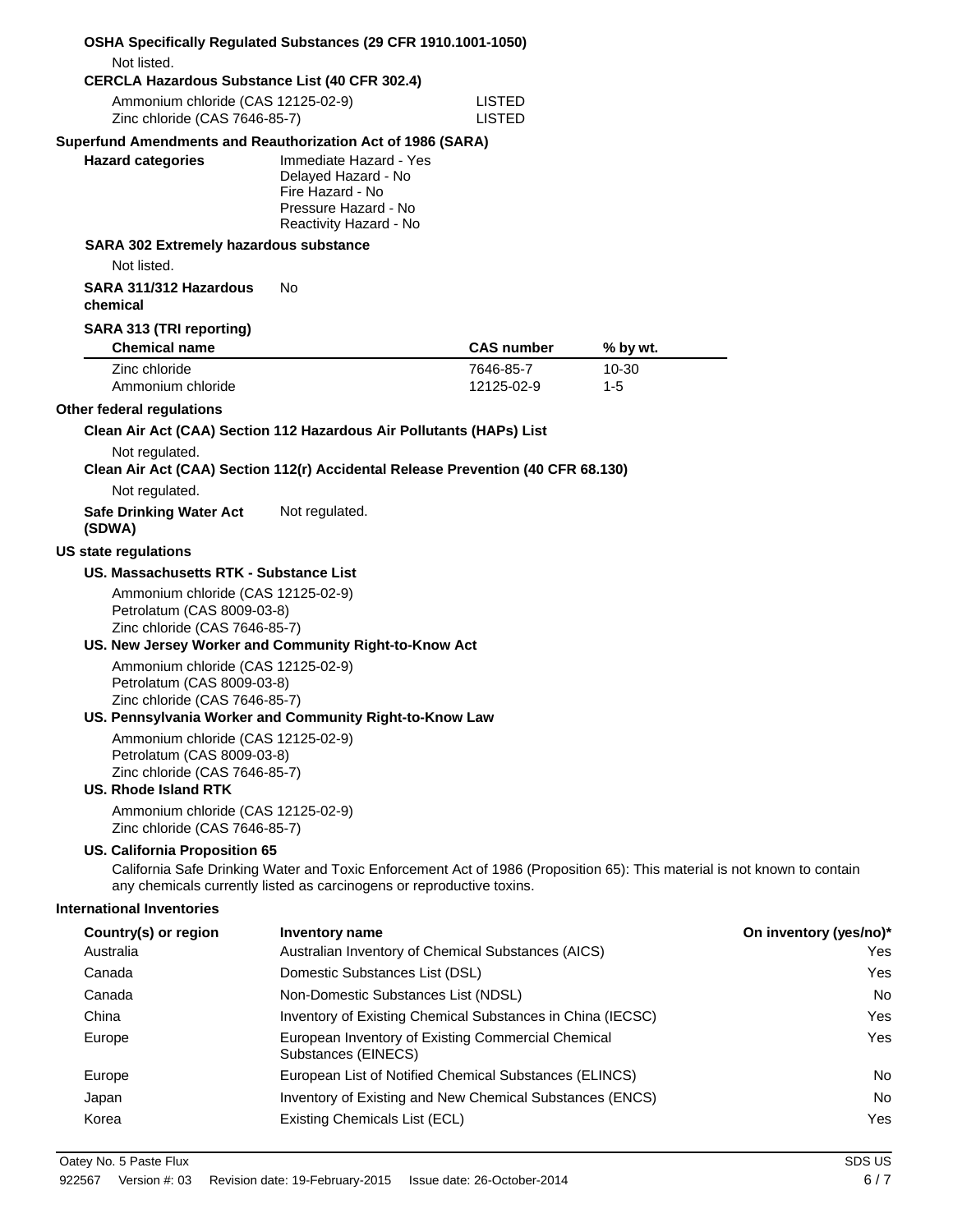| <b>OSHA Specifically Requlated Substances (29 CFR 1910.1001-1050)</b>                                                                                                      |                                                                                                                                                                                                   |                                |                      |                        |
|----------------------------------------------------------------------------------------------------------------------------------------------------------------------------|---------------------------------------------------------------------------------------------------------------------------------------------------------------------------------------------------|--------------------------------|----------------------|------------------------|
| Not listed.                                                                                                                                                                |                                                                                                                                                                                                   |                                |                      |                        |
| <b>CERCLA Hazardous Substance List (40 CFR 302.4)</b><br>Ammonium chloride (CAS 12125-02-9)<br>Zinc chloride (CAS 7646-85-7)                                               |                                                                                                                                                                                                   | <b>LISTED</b><br><b>LISTED</b> |                      |                        |
| Superfund Amendments and Reauthorization Act of 1986 (SARA)<br><b>Hazard categories</b>                                                                                    | Immediate Hazard - Yes<br>Delayed Hazard - No<br>Fire Hazard - No<br>Pressure Hazard - No<br>Reactivity Hazard - No                                                                               |                                |                      |                        |
| SARA 302 Extremely hazardous substance<br>Not listed.                                                                                                                      |                                                                                                                                                                                                   |                                |                      |                        |
| SARA 311/312 Hazardous<br>chemical                                                                                                                                         | No                                                                                                                                                                                                |                                |                      |                        |
| SARA 313 (TRI reporting)<br><b>Chemical name</b>                                                                                                                           |                                                                                                                                                                                                   | <b>CAS number</b>              | % by wt.             |                        |
| Zinc chloride<br>Ammonium chloride                                                                                                                                         |                                                                                                                                                                                                   | 7646-85-7<br>12125-02-9        | $10 - 30$<br>$1 - 5$ |                        |
| Other federal regulations                                                                                                                                                  |                                                                                                                                                                                                   |                                |                      |                        |
| Clean Air Act (CAA) Section 112 Hazardous Air Pollutants (HAPs) List<br>Not regulated.<br>Clean Air Act (CAA) Section 112(r) Accidental Release Prevention (40 CFR 68.130) |                                                                                                                                                                                                   |                                |                      |                        |
| Not regulated.                                                                                                                                                             |                                                                                                                                                                                                   |                                |                      |                        |
| <b>Safe Drinking Water Act</b><br>(SDWA)                                                                                                                                   | Not regulated.                                                                                                                                                                                    |                                |                      |                        |
| <b>US state regulations</b>                                                                                                                                                |                                                                                                                                                                                                   |                                |                      |                        |
| US. Massachusetts RTK - Substance List                                                                                                                                     |                                                                                                                                                                                                   |                                |                      |                        |
| Ammonium chloride (CAS 12125-02-9)<br>Petrolatum (CAS 8009-03-8)<br>Zinc chloride (CAS 7646-85-7)<br>US. New Jersey Worker and Community Right-to-Know Act                 |                                                                                                                                                                                                   |                                |                      |                        |
| Ammonium chloride (CAS 12125-02-9)<br>Petrolatum (CAS 8009-03-8)<br>Zinc chloride (CAS 7646-85-7)<br>US. Pennsylvania Worker and Community Right-to-Know Law               |                                                                                                                                                                                                   |                                |                      |                        |
| Ammonium chloride (CAS 12125-02-9)<br>Petrolatum (CAS 8009-03-8)<br>Zinc chloride (CAS 7646-85-7)<br>US. Rhode Island RTK                                                  |                                                                                                                                                                                                   |                                |                      |                        |
| Ammonium chloride (CAS 12125-02-9)<br>Zinc chloride (CAS 7646-85-7)                                                                                                        |                                                                                                                                                                                                   |                                |                      |                        |
| US. California Proposition 65                                                                                                                                              | California Safe Drinking Water and Toxic Enforcement Act of 1986 (Proposition 65): This material is not known to contain<br>any chemicals currently listed as carcinogens or reproductive toxins. |                                |                      |                        |
| <b>International Inventories</b>                                                                                                                                           |                                                                                                                                                                                                   |                                |                      |                        |
| Country(s) or region                                                                                                                                                       | Inventory name                                                                                                                                                                                    |                                |                      | On inventory (yes/no)* |
| Australia                                                                                                                                                                  | Australian Inventory of Chemical Substances (AICS)                                                                                                                                                |                                |                      | Yes                    |
| Canada                                                                                                                                                                     | Domestic Substances List (DSL)                                                                                                                                                                    |                                |                      | Yes                    |
| Canada                                                                                                                                                                     | Non-Domestic Substances List (NDSL)                                                                                                                                                               |                                |                      | No                     |
| China                                                                                                                                                                      | Inventory of Existing Chemical Substances in China (IECSC)                                                                                                                                        |                                |                      | Yes                    |
| Europe                                                                                                                                                                     | European Inventory of Existing Commercial Chemical<br>Substances (EINECS)                                                                                                                         |                                |                      | Yes                    |
| Europe                                                                                                                                                                     | European List of Notified Chemical Substances (ELINCS)                                                                                                                                            |                                |                      | No                     |
| Japan                                                                                                                                                                      | Inventory of Existing and New Chemical Substances (ENCS)                                                                                                                                          |                                |                      | No                     |
| Korea                                                                                                                                                                      | Existing Chemicals List (ECL)                                                                                                                                                                     |                                |                      | Yes                    |